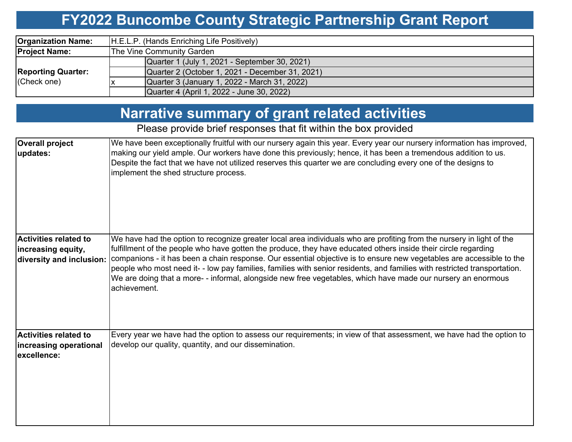## **FY2022 Buncombe County Strategic Partnership Grant Report**

| <b>Organization Name:</b>                | H.E.L.P. (Hands Enriching Life Positively)      |  |  |  |  |
|------------------------------------------|-------------------------------------------------|--|--|--|--|
| <b>Project Name:</b>                     | The Vine Community Garden                       |  |  |  |  |
| <b>Reporting Quarter:</b><br>(Check one) | Quarter 1 (July 1, 2021 - September 30, 2021)   |  |  |  |  |
|                                          | Quarter 2 (October 1, 2021 - December 31, 2021) |  |  |  |  |
|                                          | Quarter 3 (January 1, 2022 - March 31, 2022)    |  |  |  |  |
|                                          | Quarter 4 (April 1, 2022 - June 30, 2022)       |  |  |  |  |

## **Narrative summary of grant related activities**

### Please provide brief responses that fit within the box provided

| <b>Overall project</b><br>updates:                                      | We have been exceptionally fruitful with our nursery again this year. Every year our nursery information has improved,<br>making our yield ample. Our workers have done this previously; hence, it has been a tremendous addition to us.<br>Despite the fact that we have not utilized reserves this quarter we are concluding every one of the designs to<br>implement the shed structure process.                                                                                                                                                                                                                      |
|-------------------------------------------------------------------------|--------------------------------------------------------------------------------------------------------------------------------------------------------------------------------------------------------------------------------------------------------------------------------------------------------------------------------------------------------------------------------------------------------------------------------------------------------------------------------------------------------------------------------------------------------------------------------------------------------------------------|
| Activities related to<br>increasing equity,<br>diversity and inclusion: | We have had the option to recognize greater local area individuals who are profiting from the nursery in light of the<br>fulfillment of the people who have gotten the produce, they have educated others inside their circle regarding<br>companions - it has been a chain response. Our essential objective is to ensure new vegetables are accessible to the<br>people who most need it--low pay families, families with senior residents, and families with restricted transportation.<br>We are doing that a more--informal, alongside new free vegetables, which have made our nursery an enormous<br>achievement. |
| <b>Activities related to</b><br>increasing operational<br>lexcellence:  | Every year we have had the option to assess our requirements; in view of that assessment, we have had the option to<br>develop our quality, quantity, and our dissemination.                                                                                                                                                                                                                                                                                                                                                                                                                                             |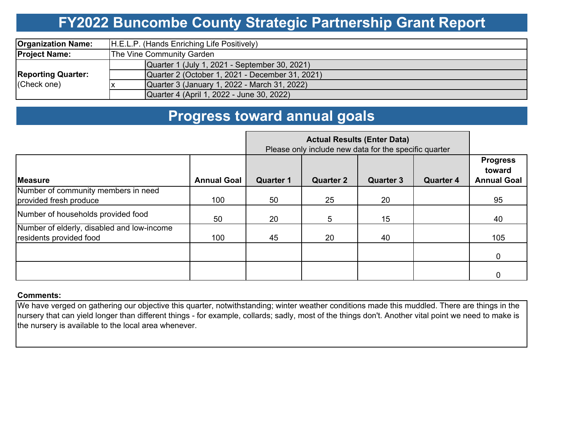## **FY2022 Buncombe County Strategic Partnership Grant Report**

| <b>Organization Name:</b>                | H.E.L.P. (Hands Enriching Life Positively)      |  |  |  |  |
|------------------------------------------|-------------------------------------------------|--|--|--|--|
| <b>Project Name:</b>                     | The Vine Community Garden                       |  |  |  |  |
| <b>Reporting Quarter:</b><br>(Check one) | Quarter 1 (July 1, 2021 - September 30, 2021)   |  |  |  |  |
|                                          | Quarter 2 (October 1, 2021 - December 31, 2021) |  |  |  |  |
|                                          | Quarter 3 (January 1, 2022 - March 31, 2022)    |  |  |  |  |
|                                          | Quarter 4 (April 1, 2022 - June 30, 2022)       |  |  |  |  |

## **Progress toward annual goals**

|                                                                       |                    | <b>Actual Results (Enter Data)</b><br>Please only include new data for the specific quarter |                  |                  |                  |                                                 |
|-----------------------------------------------------------------------|--------------------|---------------------------------------------------------------------------------------------|------------------|------------------|------------------|-------------------------------------------------|
| <b>IMeasure</b>                                                       | <b>Annual Goal</b> | <b>Quarter 1</b>                                                                            | <b>Quarter 2</b> | <b>Quarter 3</b> | <b>Quarter 4</b> | <b>Progress</b><br>toward<br><b>Annual Goal</b> |
| Number of community members in need<br>provided fresh produce         | 100                | 50                                                                                          | 25               | 20               |                  | 95                                              |
| Number of households provided food                                    | 50                 | 20                                                                                          | 5                | 15               |                  | 40                                              |
| Number of elderly, disabled and low-income<br>residents provided food | 100                | 45                                                                                          | 20               | 40               |                  | 105                                             |
|                                                                       |                    |                                                                                             |                  |                  |                  | 0                                               |
|                                                                       |                    |                                                                                             |                  |                  |                  |                                                 |

#### **Comments:**

We have verged on gathering our objective this quarter, notwithstanding; winter weather conditions made this muddled. There are things in the nursery that can yield longer than different things - for example, collards; sadly, most of the things don't. Another vital point we need to make is the nursery is available to the local area whenever.